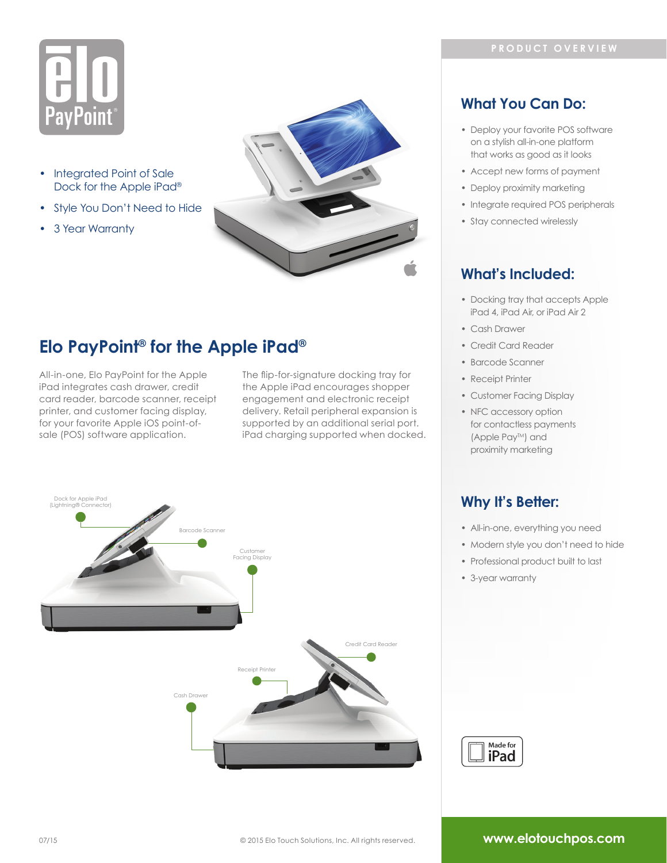

- Integrated Point of Sale Dock for the Apple iPad®
- Style You Don't Need to Hide
- 3 Year Warranty



# **Elo PayPoint® for the Apple iPad®**

All-in-one, Elo PayPoint for the Apple iPad integrates cash drawer, credit card reader, barcode scanner, receipt printer, and customer facing display, for your favorite Apple iOS point-ofsale (POS) software application.

The flip-for-signature docking tray for the Apple iPad encourages shopper engagement and electronic receipt delivery. Retail peripheral expansion is supported by an additional serial port. iPad charging supported when docked.



## **What You Can Do:**

- Deploy your favorite POS software on a stylish all-in-one platform that works as good as it looks
- Accept new forms of payment
- Deploy proximity marketing
- Integrate required POS peripherals
- Stay connected wirelessly

## **What's Included:**

- Docking tray that accepts Apple iPad 4, iPad Air, or iPad Air 2
- Cash Drawer
- Credit Card Reader
- Barcode Scanner
- Receipt Printer
- Customer Facing Display
- NFC accessory option for contactless payments (Apple Pay<sup>™</sup>) and proximity marketing

## **Why It's Better:**

- All-in-one, everything you need
- Modern style you don't need to hide
- Professional product built to last
- 3-year warranty